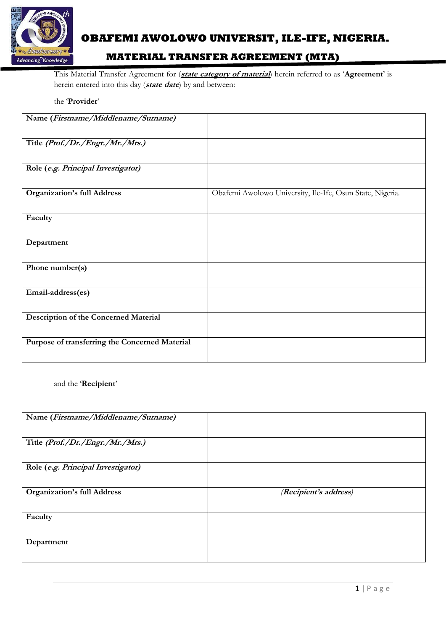

# **OBAFEMI AWOLOWO UNIVERSIT, ILE-IFE, NIGERIA.**

## **MATERIAL TRANSFER AGREEMENT (MTA)**

This Material Transfer Agreement for (**state category of material**) herein referred to as '**Agreement**' is herein entered into this day (**state date**) by and between:

the '**Provider**'

| Name (Firstname/Middlename/Surname)            |                                                           |
|------------------------------------------------|-----------------------------------------------------------|
| Title (Prof./Dr./Engr./Mr./Mrs.)               |                                                           |
| Role (e.g. Principal Investigator)             |                                                           |
| <b>Organization's full Address</b>             | Obafemi Awolowo University, Ile-Ife, Osun State, Nigeria. |
| Faculty                                        |                                                           |
| Department                                     |                                                           |
| Phone number(s)                                |                                                           |
| Email-address(es)                              |                                                           |
| <b>Description of the Concerned Material</b>   |                                                           |
| Purpose of transferring the Concerned Material |                                                           |

and the '**Recipient**'

| Name (Firstname/Middlename/Surname) |                       |
|-------------------------------------|-----------------------|
|                                     |                       |
|                                     |                       |
|                                     |                       |
| Title (Prof./Dr./Engr./Mr./Mrs.)    |                       |
|                                     |                       |
|                                     |                       |
|                                     |                       |
| Role (e.g. Principal Investigator)  |                       |
|                                     |                       |
|                                     |                       |
| <b>Organization's full Address</b>  | (Recipient's address) |
|                                     |                       |
|                                     |                       |
|                                     |                       |
|                                     |                       |
|                                     |                       |
| Faculty                             |                       |
|                                     |                       |
|                                     |                       |
|                                     |                       |
| Department                          |                       |
|                                     |                       |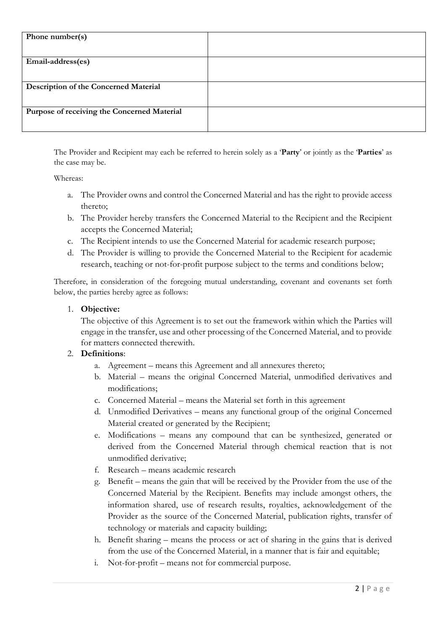| Phone number(s)                             |  |
|---------------------------------------------|--|
|                                             |  |
| Email-address(es)                           |  |
|                                             |  |
| Description of the Concerned Material       |  |
| Purpose of receiving the Concerned Material |  |

The Provider and Recipient may each be referred to herein solely as a '**Party**' or jointly as the '**Parties**' as the case may be.

#### Whereas:

- a. The Provider owns and control the Concerned Material and has the right to provide access thereto;
- b. The Provider hereby transfers the Concerned Material to the Recipient and the Recipient accepts the Concerned Material;
- c. The Recipient intends to use the Concerned Material for academic research purpose;
- d. The Provider is willing to provide the Concerned Material to the Recipient for academic research, teaching or not-for-profit purpose subject to the terms and conditions below;

Therefore, in consideration of the foregoing mutual understanding, covenant and covenants set forth below, the parties hereby agree as follows:

### 1. **Objective:**

The objective of this Agreement is to set out the framework within which the Parties will engage in the transfer, use and other processing of the Concerned Material, and to provide for matters connected therewith.

### 2. **Definitions**:

- a. Agreement means this Agreement and all annexures thereto;
- b. Material means the original Concerned Material, unmodified derivatives and modifications;
- c. Concerned Material means the Material set forth in this agreement
- d. Unmodified Derivatives means any functional group of the original Concerned Material created or generated by the Recipient;
- e. Modifications means any compound that can be synthesized, generated or derived from the Concerned Material through chemical reaction that is not unmodified derivative;
- f. Research means academic research
- g. Benefit means the gain that will be received by the Provider from the use of the Concerned Material by the Recipient. Benefits may include amongst others, the information shared, use of research results, royalties, acknowledgement of the Provider as the source of the Concerned Material, publication rights, transfer of technology or materials and capacity building;
- h. Benefit sharing means the process or act of sharing in the gains that is derived from the use of the Concerned Material, in a manner that is fair and equitable;
- i. Not-for-profit means not for commercial purpose.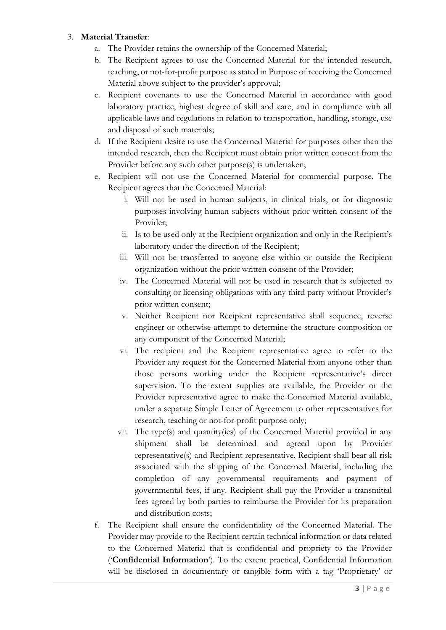## 3. **Material Transfer**:

- a. The Provider retains the ownership of the Concerned Material;
- b. The Recipient agrees to use the Concerned Material for the intended research, teaching, or not-for-profit purpose as stated in Purpose of receiving the Concerned Material above subject to the provider's approval;
- c. Recipient covenants to use the Concerned Material in accordance with good laboratory practice, highest degree of skill and care, and in compliance with all applicable laws and regulations in relation to transportation, handling, storage, use and disposal of such materials;
- d. If the Recipient desire to use the Concerned Material for purposes other than the intended research, then the Recipient must obtain prior written consent from the Provider before any such other purpose(s) is undertaken;
- e. Recipient will not use the Concerned Material for commercial purpose. The Recipient agrees that the Concerned Material:
	- i. Will not be used in human subjects, in clinical trials, or for diagnostic purposes involving human subjects without prior written consent of the Provider;
	- ii. Is to be used only at the Recipient organization and only in the Recipient's laboratory under the direction of the Recipient;
	- iii. Will not be transferred to anyone else within or outside the Recipient organization without the prior written consent of the Provider;
	- iv. The Concerned Material will not be used in research that is subjected to consulting or licensing obligations with any third party without Provider's prior written consent;
	- v. Neither Recipient nor Recipient representative shall sequence, reverse engineer or otherwise attempt to determine the structure composition or any component of the Concerned Material;
	- vi. The recipient and the Recipient representative agree to refer to the Provider any request for the Concerned Material from anyone other than those persons working under the Recipient representative's direct supervision. To the extent supplies are available, the Provider or the Provider representative agree to make the Concerned Material available, under a separate Simple Letter of Agreement to other representatives for research, teaching or not-for-profit purpose only;
	- vii. The type(s) and quantity(ies) of the Concerned Material provided in any shipment shall be determined and agreed upon by Provider representative(s) and Recipient representative. Recipient shall bear all risk associated with the shipping of the Concerned Material, including the completion of any governmental requirements and payment of governmental fees, if any. Recipient shall pay the Provider a transmittal fees agreed by both parties to reimburse the Provider for its preparation and distribution costs;
- f. The Recipient shall ensure the confidentiality of the Concerned Material. The Provider may provide to the Recipient certain technical information or data related to the Concerned Material that is confidential and propriety to the Provider ('**Confidential Information**'). To the extent practical, Confidential Information will be disclosed in documentary or tangible form with a tag 'Proprietary' or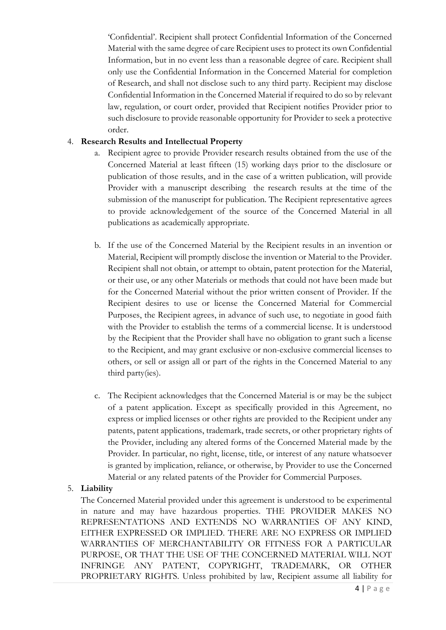'Confidential'. Recipient shall protect Confidential Information of the Concerned Material with the same degree of care Recipient uses to protect its own Confidential Information, but in no event less than a reasonable degree of care. Recipient shall only use the Confidential Information in the Concerned Material for completion of Research, and shall not disclose such to any third party. Recipient may disclose Confidential Information in the Concerned Material if required to do so by relevant law, regulation, or court order, provided that Recipient notifies Provider prior to such disclosure to provide reasonable opportunity for Provider to seek a protective order.

## 4. **Research Results and Intellectual Property**

- a. Recipient agree to provide Provider research results obtained from the use of the Concerned Material at least fifteen (15) working days prior to the disclosure or publication of those results, and in the case of a written publication, will provide Provider with a manuscript describing the research results at the time of the submission of the manuscript for publication. The Recipient representative agrees to provide acknowledgement of the source of the Concerned Material in all publications as academically appropriate.
- b. If the use of the Concerned Material by the Recipient results in an invention or Material, Recipient will promptly disclose the invention or Material to the Provider. Recipient shall not obtain, or attempt to obtain, patent protection for the Material, or their use, or any other Materials or methods that could not have been made but for the Concerned Material without the prior written consent of Provider. If the Recipient desires to use or license the Concerned Material for Commercial Purposes, the Recipient agrees, in advance of such use, to negotiate in good faith with the Provider to establish the terms of a commercial license. It is understood by the Recipient that the Provider shall have no obligation to grant such a license to the Recipient, and may grant exclusive or non-exclusive commercial licenses to others, or sell or assign all or part of the rights in the Concerned Material to any third party(ies).
- c. The Recipient acknowledges that the Concerned Material is or may be the subject of a patent application. Except as specifically provided in this Agreement, no express or implied licenses or other rights are provided to the Recipient under any patents, patent applications, trademark, trade secrets, or other proprietary rights of the Provider, including any altered forms of the Concerned Material made by the Provider. In particular, no right, license, title, or interest of any nature whatsoever is granted by implication, reliance, or otherwise, by Provider to use the Concerned Material or any related patents of the Provider for Commercial Purposes.

## 5. **Liability**

The Concerned Material provided under this agreement is understood to be experimental in nature and may have hazardous properties. THE PROVIDER MAKES NO REPRESENTATIONS AND EXTENDS NO WARRANTIES OF ANY KIND, EITHER EXPRESSED OR IMPLIED. THERE ARE NO EXPRESS OR IMPLIED WARRANTIES OF MERCHANTABILITY OR FITNESS FOR A PARTICULAR PURPOSE, OR THAT THE USE OF THE CONCERNED MATERIAL WILL NOT INFRINGE ANY PATENT, COPYRIGHT, TRADEMARK, OR OTHER PROPRIETARY RIGHTS. Unless prohibited by law, Recipient assume all liability for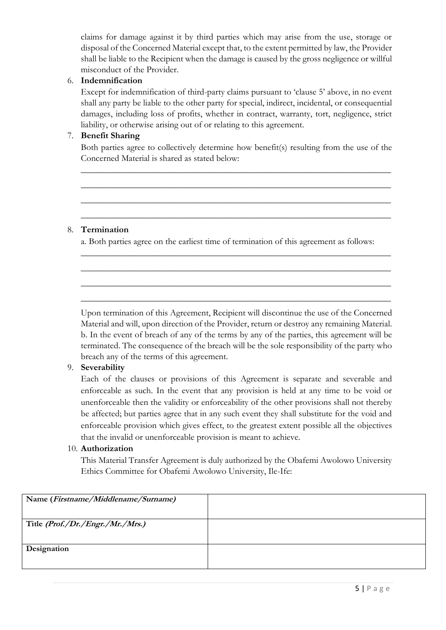claims for damage against it by third parties which may arise from the use, storage or disposal of the Concerned Material except that, to the extent permitted by law, the Provider shall be liable to the Recipient when the damage is caused by the gross negligence or willful misconduct of the Provider.

## 6. **Indemnification**

Except for indemnification of third-party claims pursuant to 'clause 5' above, in no event shall any party be liable to the other party for special, indirect, incidental, or consequential damages, including loss of profits, whether in contract, warranty, tort, negligence, strict liability, or otherwise arising out of or relating to this agreement.

## 7. **Benefit Sharing**

Both parties agree to collectively determine how benefit(s) resulting from the use of the Concerned Material is shared as stated below:

\_\_\_\_\_\_\_\_\_\_\_\_\_\_\_\_\_\_\_\_\_\_\_\_\_\_\_\_\_\_\_\_\_\_\_\_\_\_\_\_\_\_\_\_\_\_\_\_\_\_\_\_\_\_\_\_\_\_\_\_\_\_\_\_\_\_\_\_\_

\_\_\_\_\_\_\_\_\_\_\_\_\_\_\_\_\_\_\_\_\_\_\_\_\_\_\_\_\_\_\_\_\_\_\_\_\_\_\_\_\_\_\_\_\_\_\_\_\_\_\_\_\_\_\_\_\_\_\_\_\_\_\_\_\_\_\_\_\_

\_\_\_\_\_\_\_\_\_\_\_\_\_\_\_\_\_\_\_\_\_\_\_\_\_\_\_\_\_\_\_\_\_\_\_\_\_\_\_\_\_\_\_\_\_\_\_\_\_\_\_\_\_\_\_\_\_\_\_\_\_\_\_\_\_\_\_\_\_

\_\_\_\_\_\_\_\_\_\_\_\_\_\_\_\_\_\_\_\_\_\_\_\_\_\_\_\_\_\_\_\_\_\_\_\_\_\_\_\_\_\_\_\_\_\_\_\_\_\_\_\_\_\_\_\_\_\_\_\_\_\_\_\_\_\_\_\_\_

\_\_\_\_\_\_\_\_\_\_\_\_\_\_\_\_\_\_\_\_\_\_\_\_\_\_\_\_\_\_\_\_\_\_\_\_\_\_\_\_\_\_\_\_\_\_\_\_\_\_\_\_\_\_\_\_\_\_\_\_\_\_\_\_\_\_\_\_\_

\_\_\_\_\_\_\_\_\_\_\_\_\_\_\_\_\_\_\_\_\_\_\_\_\_\_\_\_\_\_\_\_\_\_\_\_\_\_\_\_\_\_\_\_\_\_\_\_\_\_\_\_\_\_\_\_\_\_\_\_\_\_\_\_\_\_\_\_\_

\_\_\_\_\_\_\_\_\_\_\_\_\_\_\_\_\_\_\_\_\_\_\_\_\_\_\_\_\_\_\_\_\_\_\_\_\_\_\_\_\_\_\_\_\_\_\_\_\_\_\_\_\_\_\_\_\_\_\_\_\_\_\_\_\_\_\_\_\_

\_\_\_\_\_\_\_\_\_\_\_\_\_\_\_\_\_\_\_\_\_\_\_\_\_\_\_\_\_\_\_\_\_\_\_\_\_\_\_\_\_\_\_\_\_\_\_\_\_\_\_\_\_\_\_\_\_\_\_\_\_\_\_\_\_\_\_\_\_

## 8. **Termination**

a. Both parties agree on the earliest time of termination of this agreement as follows:

Upon termination of this Agreement, Recipient will discontinue the use of the Concerned Material and will, upon direction of the Provider, return or destroy any remaining Material. b. In the event of breach of any of the terms by any of the parties, this agreement will be terminated. The consequence of the breach will be the sole responsibility of the party who breach any of the terms of this agreement.

## 9. **Severability**

Each of the clauses or provisions of this Agreement is separate and severable and enforceable as such. In the event that any provision is held at any time to be void or unenforceable then the validity or enforceability of the other provisions shall not thereby be affected; but parties agree that in any such event they shall substitute for the void and enforceable provision which gives effect, to the greatest extent possible all the objectives that the invalid or unenforceable provision is meant to achieve.

### 10. **Authorization**

This Material Transfer Agreement is duly authorized by the Obafemi Awolowo University Ethics Committee for Obafemi Awolowo University, Ile-Ife:

| Name (Firstname/Middlename/Surname) |  |
|-------------------------------------|--|
| Title (Prof./Dr./Engr./Mr./Mrs.)    |  |
| Designation                         |  |
|                                     |  |